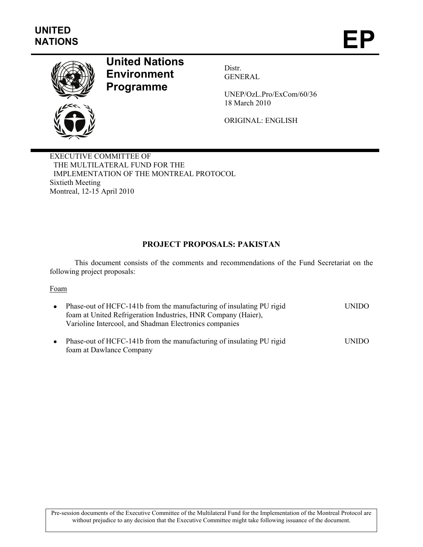

# **United Nations Environment Programme**

Distr. GENERAL

UNEP/OzL.Pro/ExCom/60/36 18 March 2010

ORIGINAL: ENGLISH

EXECUTIVE COMMITTEE OF THE MULTILATERAL FUND FOR THE IMPLEMENTATION OF THE MONTREAL PROTOCOL Sixtieth Meeting Montreal, 12-15 April 2010

# **PROJECT PROPOSALS: PAKISTAN**

This document consists of the comments and recommendations of the Fund Secretariat on the following project proposals:

#### Foam

| Phase-out of HCFC-141b from the manufacturing of insulating PU rigid<br>foam at United Refrigeration Industries, HNR Company (Haier),<br>Varioline Intercool, and Shadman Electronics companies | <b>UNIDO</b>  |
|-------------------------------------------------------------------------------------------------------------------------------------------------------------------------------------------------|---------------|
| $\Gamma$                                                                                                                                                                                        | <b>INIIDO</b> |

• Phase-out of HCFC-141b from the manufacturing of insulating PU rigid foam at Dawlance Company UNIDO

Pre-session documents of the Executive Committee of the Multilateral Fund for the Implementation of the Montreal Protocol are without prejudice to any decision that the Executive Committee might take following issuance of the document.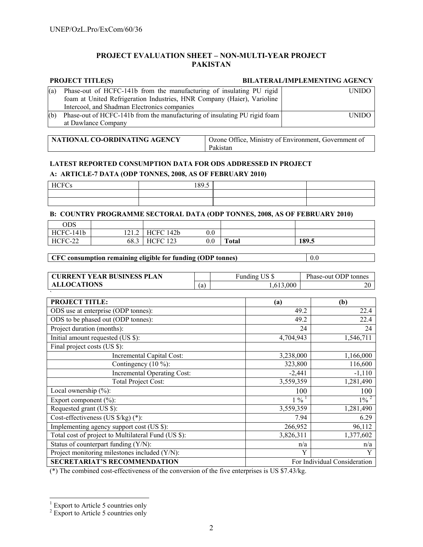#### **PROJECT EVALUATION SHEET – NON-MULTI-YEAR PROJECT PAKISTAN**

## **PROJECT TITLE(S) BILATERAL/IMPLEMENTING AGENCY**

| (a) | Phase-out of HCFC-141b from the manufacturing of insulating PU rigid      | UNIDO - |
|-----|---------------------------------------------------------------------------|---------|
|     | foam at United Refrigeration Industries, HNR Company (Haier), Varioline   |         |
|     | Intercool, and Shadman Electronics companies                              |         |
| (b) | Phase-out of HCFC-141b from the manufacturing of insulating PU rigid foam | UNIDO.  |
|     | at Dawlance Company                                                       |         |

| NATIONAL CO-ORDINATING AGENCY | Ozone Office, Ministry of Environment, Government of |
|-------------------------------|------------------------------------------------------|
|                               | Pakistan                                             |

### **LATEST REPORTED CONSUMPTION DATA FOR ODS ADDRESSED IN PROJECT A: ARTICLE-7 DATA (ODP TONNES, 2008, AS OF FEBRUARY 2010)**

| <b>HCFC</b><br>. `H I `C<br>دب | 189.5 |  |
|--------------------------------|-------|--|
|                                |       |  |
|                                |       |  |

#### **B: COUNTRY PROGRAMME SECTORAL DATA (ODP TONNES, 2008, AS OF FEBRUARY 2010)**

| ODS       |                |                 |              |              |       |  |
|-----------|----------------|-----------------|--------------|--------------|-------|--|
| HCFC-141b | 1212<br>. 41.4 | HCFC 142b       | $_{\rm 0.0}$ |              |       |  |
| HCFC-22   | 68.3           | <b>HCFC 123</b> | $_{\rm 0.0}$ | <b>Total</b> | 189.5 |  |

### **CFC consumption remaining eligible for funding (ODP tonnes)** 0.0

| <b>CURRENT YEAR BUSINESS PLAN</b> |    | TTC C<br>unding | Phase-out ODP tonnes |
|-----------------------------------|----|-----------------|----------------------|
| <b>ALLOCATIONS</b>                | (a | 000.<br>. რ     | 20                   |

| <b>PROJECT TITLE:</b>                               | (a)                          | (b)                |
|-----------------------------------------------------|------------------------------|--------------------|
| ODS use at enterprise (ODP tonnes):                 | 49.2                         | 22.4               |
| ODS to be phased out (ODP tonnes):                  | 49.2                         | 22.4               |
| Project duration (months):                          | 24                           | 24                 |
| Initial amount requested (US \$):                   | 4,704,943                    | 1,546,711          |
| Final project costs (US \$):                        |                              |                    |
| Incremental Capital Cost:                           | 3,238,000                    | 1,166,000          |
| Contingency $(10\%)$ :                              | 323,800                      | 116,600            |
| Incremental Operating Cost:                         | $-2,441$                     | $-1,110$           |
| <b>Total Project Cost:</b>                          | 3,559,359                    | 1,281,490          |
| Local ownership $(\%)$ :                            | 100                          | 100                |
| Export component $(\% )$ :                          | $1\%$ <sup>1</sup>           | $1\%$ <sup>2</sup> |
| Requested grant (US \$):                            | 3,559,359                    | 1,281,490          |
| Cost-effectiveness (US $\frac{s}{kg}$ ) (*):        | 7.94                         | 6.29               |
| Implementing agency support cost (US \$):           | 266,952                      | 96,112             |
| Total cost of project to Multilateral Fund (US \$): | 3,826,311                    | 1,377,602          |
| Status of counterpart funding (Y/N):                | n/a                          | n/a                |
| Project monitoring milestones included (Y/N):       | Y                            | Y                  |
| <b>SECRETARIAT'S RECOMMENDATION</b>                 | For Individual Consideration |                    |

(\*) The combined cost-effectiveness of the conversion of the five enterprises is US \$7.43/kg.

<sup>&</sup>lt;sup>1</sup> Export to Article 5 countries only <sup>2</sup> Export to Article 5 countries only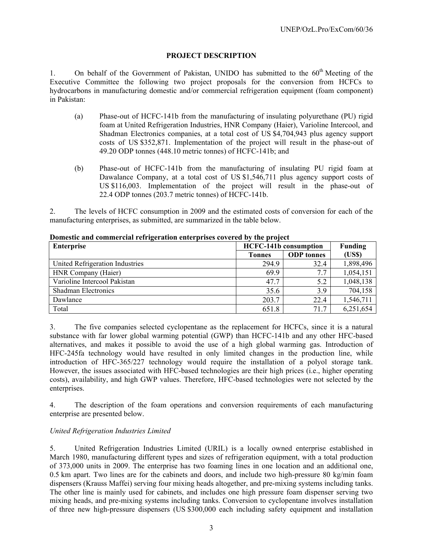### **PROJECT DESCRIPTION**

1. On behalf of the Government of Pakistan, UNIDO has submitted to the  $60<sup>th</sup>$  Meeting of the Executive Committee the following two project proposals for the conversion from HCFCs to hydrocarbons in manufacturing domestic and/or commercial refrigeration equipment (foam component) in Pakistan:

- (a) Phase-out of HCFC-141b from the manufacturing of insulating polyurethane (PU) rigid foam at United Refrigeration Industries, HNR Company (Haier), Varioline Intercool, and Shadman Electronics companies, at a total cost of US \$4,704,943 plus agency support costs of US \$352,871. Implementation of the project will result in the phase-out of 49.20 ODP tonnes (448.10 metric tonnes) of HCFC-141b; and
- (b) Phase-out of HCFC-141b from the manufacturing of insulating PU rigid foam at Dawalance Company, at a total cost of US \$1,546,711 plus agency support costs of US \$116,003. Implementation of the project will result in the phase-out of 22.4 ODP tonnes (203.7 metric tonnes) of HCFC-141b.

2. The levels of HCFC consumption in 2009 and the estimated costs of conversion for each of the manufacturing enterprises, as submitted, are summarized in the table below.

| Enterprise                      | <b>HCFC-141b consumption</b> | <b>Funding</b>    |           |
|---------------------------------|------------------------------|-------------------|-----------|
|                                 | <b>Tonnes</b>                | <b>ODP</b> tonnes | (US\$)    |
| United Refrigeration Industries | 294.9                        | 32.4              | 1,898,496 |
| HNR Company (Haier)             | 69.9                         | 7.7               | 1,054,151 |
| Varioline Intercool Pakistan    | 47.7                         | 5.2               | 1,048,138 |
| <b>Shadman Electronics</b>      | 35.6                         | 3.9               | 704,158   |
| Dawlance                        | 203.7                        | 22.4              | 1,546,711 |
| Total                           | 651.8                        | 71.7              | 6,251,654 |

**Domestic and commercial refrigeration enterprises covered by the project** 

3. The five companies selected cyclopentane as the replacement for HCFCs, since it is a natural substance with far lower global warming potential (GWP) than HCFC-141b and any other HFC-based alternatives, and makes it possible to avoid the use of a high global warming gas. Introduction of HFC-245fa technology would have resulted in only limited changes in the production line, while introduction of HFC-365/227 technology would require the installation of a polyol storage tank. However, the issues associated with HFC-based technologies are their high prices (i.e., higher operating costs), availability, and high GWP values. Therefore, HFC-based technologies were not selected by the enterprises.

4. The description of the foam operations and conversion requirements of each manufacturing enterprise are presented below.

# *United Refrigeration Industries Limited*

5. United Refrigeration Industries Limited (URIL) is a locally owned enterprise established in March 1980, manufacturing different types and sizes of refrigeration equipment, with a total production of 373,000 units in 2009. The enterprise has two foaming lines in one location and an additional one, 0.5 km apart. Two lines are for the cabinets and doors, and include two high-pressure 80 kg/min foam dispensers (Krauss Maffei) serving four mixing heads altogether, and pre-mixing systems including tanks. The other line is mainly used for cabinets, and includes one high pressure foam dispenser serving two mixing heads, and pre-mixing systems including tanks. Conversion to cyclopentane involves installation of three new high-pressure dispensers (US \$300,000 each including safety equipment and installation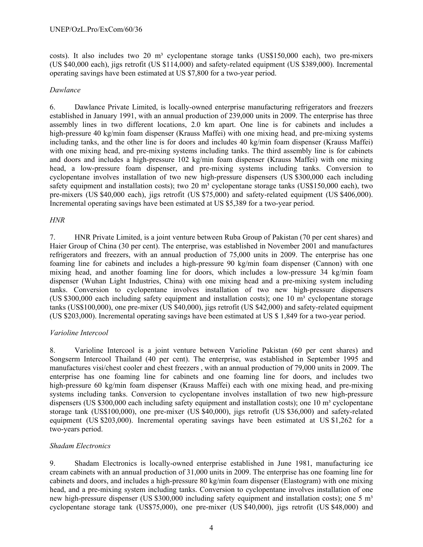costs). It also includes two 20 m<sup>3</sup> cyclopentane storage tanks (US\$150,000 each), two pre-mixers (US \$40,000 each), jigs retrofit (US \$114,000) and safety-related equipment (US \$389,000). Incremental operating savings have been estimated at US \$7,800 for a two-year period.

#### *Dawlance*

6. Dawlance Private Limited, is locally-owned enterprise manufacturing refrigerators and freezers established in January 1991, with an annual production of 239,000 units in 2009. The enterprise has three assembly lines in two different locations, 2.0 km apart. One line is for cabinets and includes a high-pressure 40 kg/min foam dispenser (Krauss Maffei) with one mixing head, and pre-mixing systems including tanks, and the other line is for doors and includes 40 kg/min foam dispenser (Krauss Maffei) with one mixing head, and pre-mixing systems including tanks. The third assembly line is for cabinets and doors and includes a high-pressure 102 kg/min foam dispenser (Krauss Maffei) with one mixing head, a low-pressure foam dispenser, and pre-mixing systems including tanks. Conversion to cyclopentane involves installation of two new high-pressure dispensers (US \$300,000 each including safety equipment and installation costs); two 20  $\text{m}^3$  cyclopentane storage tanks (US\$150,000 each), two pre-mixers (US \$40,000 each), jigs retrofit (US \$75,000) and safety-related equipment (US \$406,000). Incremental operating savings have been estimated at US \$5,389 for a two-year period.

#### *HNR*

7. HNR Private Limited, is a joint venture between Ruba Group of Pakistan (70 per cent shares) and Haier Group of China (30 per cent). The enterprise, was established in November 2001 and manufactures refrigerators and freezers, with an annual production of 75,000 units in 2009. The enterprise has one foaming line for cabinets and includes a high-pressure 90 kg/min foam dispenser (Cannon) with one mixing head, and another foaming line for doors, which includes a low-pressure 34 kg/min foam dispenser (Wuhan Light Industries, China) with one mixing head and a pre-mixing system including tanks. Conversion to cyclopentane involves installation of two new high-pressure dispensers (US \$300,000 each including safety equipment and installation costs); one 10  $m<sup>3</sup>$  cyclopentane storage tanks (US\$100,000), one pre-mixer (US \$40,000), jigs retrofit (US \$42,000) and safety-related equipment (US \$203,000). Incremental operating savings have been estimated at US \$ 1,849 for a two-year period.

#### *Varioline Intercool*

8. Varioline Intercool is a joint venture between Varioline Pakistan (60 per cent shares) and Songserm Intercool Thailand (40 per cent). The enterprise, was established in September 1995 and manufactures visi/chest cooler and chest freezers , with an annual production of 79,000 units in 2009. The enterprise has one foaming line for cabinets and one foaming line for doors, and includes two high-pressure 60 kg/min foam dispenser (Krauss Maffei) each with one mixing head, and pre-mixing systems including tanks. Conversion to cyclopentane involves installation of two new high-pressure dispensers (US \$300,000 each including safety equipment and installation costs); one 10 m<sup>3</sup> cyclopentane storage tank (US\$100,000), one pre-mixer (US \$40,000), jigs retrofit (US \$36,000) and safety-related equipment (US \$203,000). Incremental operating savings have been estimated at US \$1,262 for a two-years period.

#### *Shadam Electronics*

9. Shadam Electronics is locally-owned enterprise established in June 1981, manufacturing ice cream cabinets with an annual production of 31,000 units in 2009. The enterprise has one foaming line for cabinets and doors, and includes a high-pressure 80 kg/min foam dispenser (Elastogram) with one mixing head, and a pre-mixing system including tanks. Conversion to cyclopentane involves installation of one new high-pressure dispenser (US \$300,000 including safety equipment and installation costs); one 5 m<sup>3</sup> cyclopentane storage tank (US\$75,000), one pre-mixer (US \$40,000), jigs retrofit (US \$48,000) and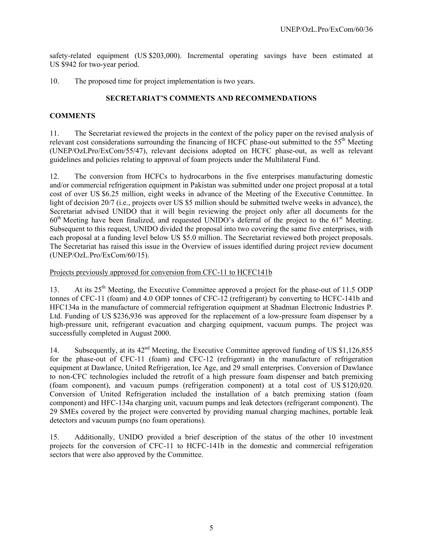safety-related equipment (US \$203,000). Incremental operating savings have been estimated at US \$942 for two-year period.

10. The proposed time for project implementation is two years.

### **SECRETARIAT'S COMMENTS AND RECOMMENDATIONS**

### **COMMENTS**

11. The Secretariat reviewed the projects in the context of the policy paper on the revised analysis of relevant cost considerations surrounding the financing of HCFC phase-out submitted to the 55<sup>th</sup> Meeting (UNEP/OzLPro/ExCom/55/47), relevant decisions adopted on HCFC phase-out, as well as relevant guidelines and policies relating to approval of foam projects under the Multilateral Fund.

12. The conversion from HCFCs to hydrocarbons in the five enterprises manufacturing domestic and/or commercial refrigeration equipment in Pakistan was submitted under one project proposal at a total cost of over US \$6.25 million, eight weeks in advance of the Meeting of the Executive Committee. In light of decision 20/7 (i.e., projects over US \$5 million should be submitted twelve weeks in advance), the Secretariat advised UNIDO that it will begin reviewing the project only after all documents for the  $60<sup>th</sup>$  Meeting have been finalized, and requested UNIDO's deferral of the project to the  $61<sup>st</sup>$  Meeting. Subsequent to this request, UNIDO divided the proposal into two covering the same five enterprises, with each proposal at a funding level below US \$5.0 million. The Secretariat reviewed both project proposals. The Secretariat has raised this issue in the Overview of issues identified during project review document (UNEP/OzL.Pro/ExCom/60/15).

#### Projects previously approved for conversion from CFC-11 to HCFC141b

13. At its  $25<sup>th</sup>$  Meeting, the Executive Committee approved a project for the phase-out of 11.5 ODP tonnes of CFC-11 (foam) and 4.0 ODP tonnes of CFC-12 (refrigerant) by converting to HCFC-141b and HFC134a in the manufacture of commercial refrigeration equipment at Shadman Electronic Industries P. Ltd. Funding of US \$236,936 was approved for the replacement of a low-pressure foam dispenser by a high-pressure unit, refrigerant evacuation and charging equipment, vacuum pumps. The project was successfully completed in August 2000.

14. Subsequently, at its  $42<sup>nd</sup>$  Meeting, the Executive Committee approved funding of US \$1,126,855 for the phase-out of CFC-11 (foam) and CFC-12 (refrigerant) in the manufacture of refrigeration equipment at Dawlance, United Refrigeration, Ice Age, and 29 small enterprises. Conversion of Dawlance to non-CFC technologies included the retrofit of a high pressure foam dispenser and batch premixing (foam component), and vacuum pumps (refrigeration component) at a total cost of US \$120,020. Conversion of United Refrigeration included the installation of a batch premixing station (foam component) and HFC-134a charging unit, vacuum pumps and leak detectors (refrigerant component). The 29 SMEs covered by the project were converted by providing manual charging machines, portable leak detectors and vacuum pumps (no foam operations).

15. Additionally, UNIDO provided a brief description of the status of the other 10 investment projects for the conversion of CFC-11 to HCFC-141b in the domestic and commercial refrigeration sectors that were also approved by the Committee.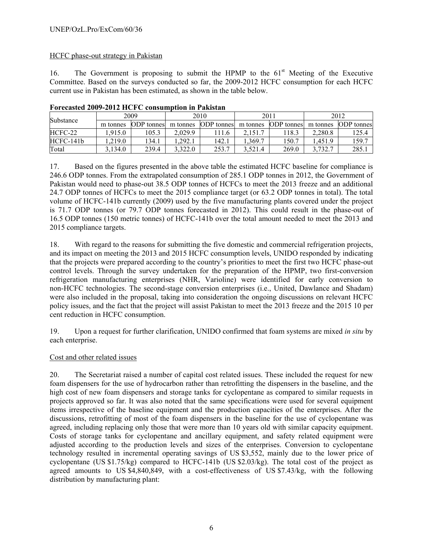# HCFC phase-out strategy in Pakistan

16. The Government is proposing to submit the HPMP to the  $61<sup>st</sup>$  Meeting of the Executive Committee. Based on the surveys conducted so far, the 2009-2012 HCFC consumption for each HCFC current use in Pakistan has been estimated, as shown in the table below.

| Substance | 2009     |                   | 2010     |                   | 2011     |                   | 2012     |                   |
|-----------|----------|-------------------|----------|-------------------|----------|-------------------|----------|-------------------|
|           | m tonnes | <b>ODP</b> tonnes | m tonnes | <b>ODP</b> tonnes | m tonnes | <b>ODP</b> tonnes | m tonnes | <b>ODP</b> tonnes |
| HCFC-22   | .915.0   | 105.3             | 2.029.9  | '11.6'            | 2.151.7  | 18.3              | 2.280.8  | 125.4             |
| HCFC-141b | .219.0   | 134.1             | .292.1   | 142.1             | .369.7   | 150.7             | .451.9   | 159.7             |
| Total     | 3.134.0  | 239.4             | 3.322.0  | 253.7             | 3.521.4  | 269.0             | 3,732.7  | 285.1             |

**Forecasted 2009-2012 HCFC consumption in Pakistan** 

17. Based on the figures presented in the above table the estimated HCFC baseline for compliance is 246.6 ODP tonnes. From the extrapolated consumption of 285.1 ODP tonnes in 2012, the Government of Pakistan would need to phase-out 38.5 ODP tonnes of HCFCs to meet the 2013 freeze and an additional 24.7 ODP tonnes of HCFCs to meet the 2015 compliance target (or 63.2 ODP tonnes in total). The total volume of HCFC-141b currently (2009) used by the five manufacturing plants covered under the project is 71.7 ODP tonnes (or 79.7 ODP tonnes forecasted in 2012). This could result in the phase-out of 16.5 ODP tonnes (150 metric tonnes) of HCFC-141b over the total amount needed to meet the 2013 and 2015 compliance targets.

18. With regard to the reasons for submitting the five domestic and commercial refrigeration projects, and its impact on meeting the 2013 and 2015 HCFC consumption levels, UNIDO responded by indicating that the projects were prepared according to the country's priorities to meet the first two HCFC phase-out control levels. Through the survey undertaken for the preparation of the HPMP, two first-conversion refrigeration manufacturing enterprises (NHR, Varioline) were identified for early conversion to non-HCFC technologies. The second-stage conversion enterprises (i.e., United, Dawlance and Shadam) were also included in the proposal, taking into consideration the ongoing discussions on relevant HCFC policy issues, and the fact that the project will assist Pakistan to meet the 2013 freeze and the 2015 10 per cent reduction in HCFC consumption.

19. Upon a request for further clarification, UNIDO confirmed that foam systems are mixed *in situ* by each enterprise.

# Cost and other related issues

20. The Secretariat raised a number of capital cost related issues. These included the request for new foam dispensers for the use of hydrocarbon rather than retrofitting the dispensers in the baseline, and the high cost of new foam dispensers and storage tanks for cyclopentane as compared to similar requests in projects approved so far. It was also noted that the same specifications were used for several equipment items irrespective of the baseline equipment and the production capacities of the enterprises. After the discussions, retrofitting of most of the foam dispensers in the baseline for the use of cyclopentane was agreed, including replacing only those that were more than 10 years old with similar capacity equipment. Costs of storage tanks for cyclopentane and ancillary equipment, and safety related equipment were adjusted according to the production levels and sizes of the enterprises. Conversion to cyclopentane technology resulted in incremental operating savings of US \$3,552, mainly due to the lower price of cyclopentane (US \$1.75/kg) compared to HCFC-141b (US \$2.03/kg). The total cost of the project as agreed amounts to US \$4,840,849, with a cost-effectiveness of US \$7.43/kg, with the following distribution by manufacturing plant: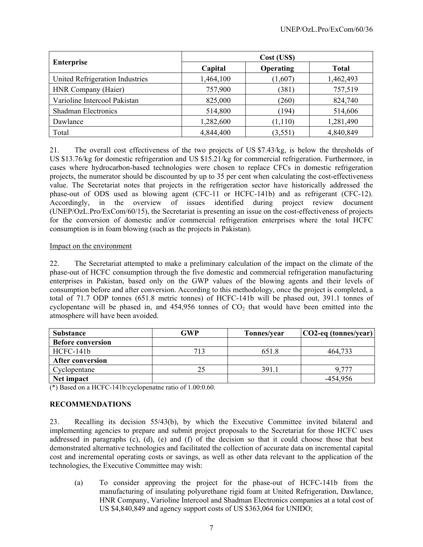|                                 | Cost (US\$) |           |              |  |  |  |
|---------------------------------|-------------|-----------|--------------|--|--|--|
| <b>Enterprise</b>               | Capital     | Operating | <b>Total</b> |  |  |  |
| United Refrigeration Industries | 1,464,100   | (1,607)   | 1,462,493    |  |  |  |
| HNR Company (Haier)             | 757,900     | (381)     | 757,519      |  |  |  |
| Varioline Intercool Pakistan    | 825,000     | (260)     | 824,740      |  |  |  |
| Shadman Electronics             | 514,800     | (194)     | 514,606      |  |  |  |
| Dawlance                        | 1,282,600   | (1, 110)  | 1,281,490    |  |  |  |
| Total                           | 4,844,400   | (3,551)   | 4,840,849    |  |  |  |

21. The overall cost effectiveness of the two projects of US \$7.43/kg, is below the thresholds of US \$13.76/kg for domestic refrigeration and US \$15.21/kg for commercial refrigeration. Furthermore, in cases where hydrocarbon-based technologies were chosen to replace CFCs in domestic refrigeration projects, the numerator should be discounted by up to 35 per cent when calculating the cost-effectiveness value. The Secretariat notes that projects in the refrigeration sector have historically addressed the phase-out of ODS used as blowing agent (CFC-11 or HCFC-141b) and as refrigerant (CFC-12). Accordingly, in the overview of issues identified during project review document (UNEP/OzL.Pro/ExCom/60/15), the Secretariat is presenting an issue on the cost-effectiveness of projects for the conversion of domestic and/or commercial refrigeration enterprises where the total HCFC consumption is in foam blowing (such as the projects in Pakistan).

#### Impact on the environment

22. The Secretariat attempted to make a preliminary calculation of the impact on the climate of the phase-out of HCFC consumption through the five domestic and commercial refrigeration manufacturing enterprises in Pakistan, based only on the GWP values of the blowing agents and their levels of consumption before and after conversion. According to this methodology, once the project is completed, a total of 71.7 ODP tonnes (651.8 metric tonnes) of HCFC-141b will be phased out, 391.1 tonnes of cyclopentane will be phased in, and  $454,956$  tonnes of  $CO<sub>2</sub>$  that would have been emitted into the atmosphere will have been avoided.

| <b>Substance</b>         | GWP | Tonnes/year | $ CO2$ -eq (tonnes/year) |
|--------------------------|-----|-------------|--------------------------|
| <b>Before conversion</b> |     |             |                          |
| HCFC-141b                | 713 | 651.8       | 464,733                  |
| <b>After conversion</b>  |     |             |                          |
| Cyclopentane             |     | 391.1       | 9 777                    |
| Net impact               |     |             | -454,956                 |

(\*) Based on a HCFC-141b:cyclopenatne ratio of 1.00:0.60.

# **RECOMMENDATIONS**

23. Recalling its decision 55/43(b), by which the Executive Committee invited bilateral and implementing agencies to prepare and submit project proposals to the Secretariat for those HCFC uses addressed in paragraphs (c), (d), (e) and (f) of the decision so that it could choose those that best demonstrated alternative technologies and facilitated the collection of accurate data on incremental capital cost and incremental operating costs or savings, as well as other data relevant to the application of the technologies, the Executive Committee may wish:

(a) To consider approving the project for the phase-out of HCFC-141b from the manufacturing of insulating polyurethane rigid foam at United Refrigeration, Dawlance, HNR Company, Varioline Intercool and Shadman Electronics companies at a total cost of US \$4,840,849 and agency support costs of US \$363,064 for UNIDO;